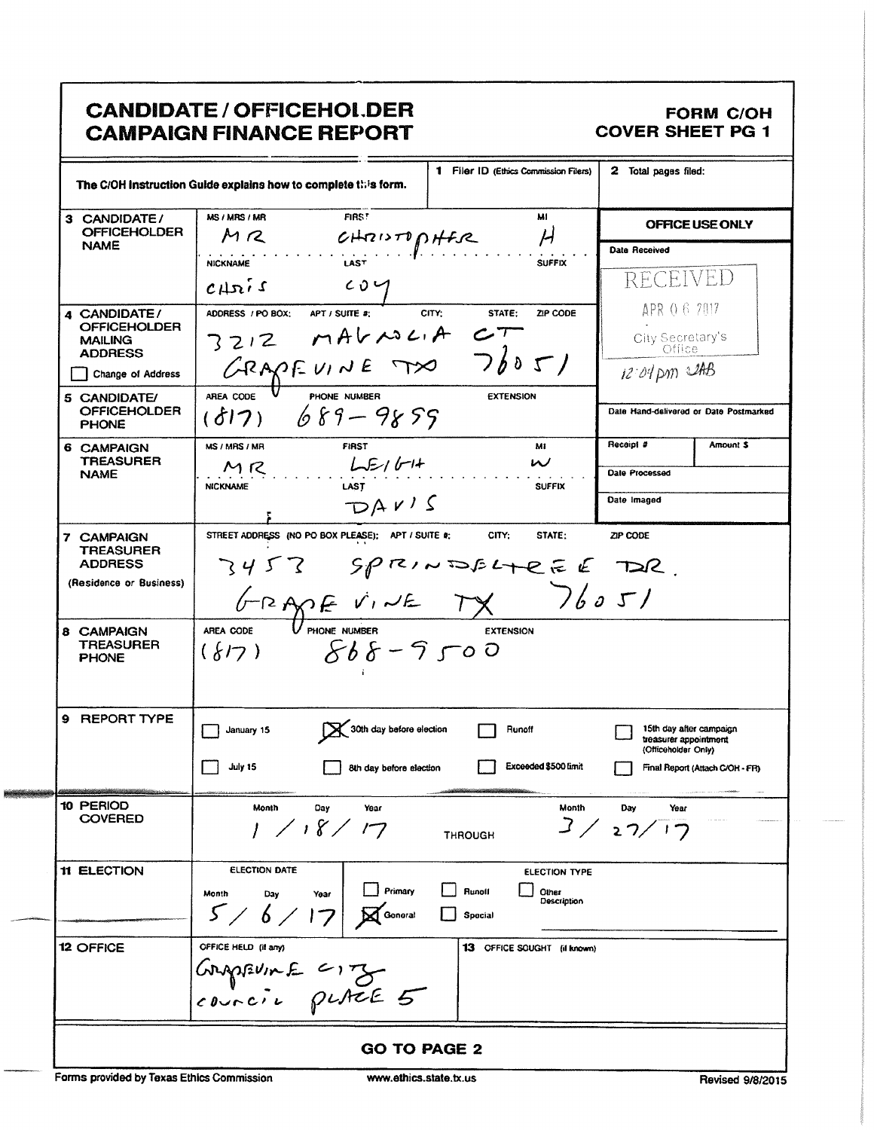|                                                                             | <b>CANDIDATE / OFFICEHOL DER</b><br><b>CAMPAIGN FINANCE REPORT</b>                                    |                                                     |                            |                                                   |                                            | <b>FORM C/OH</b><br><b>COVER SHEET PG 1</b>                                     |
|-----------------------------------------------------------------------------|-------------------------------------------------------------------------------------------------------|-----------------------------------------------------|----------------------------|---------------------------------------------------|--------------------------------------------|---------------------------------------------------------------------------------|
|                                                                             | The C/OH instruction Guide explains how to complete this form.                                        |                                                     |                            | 1 Filer ID (Ethics Commission Filers)             | 2 Total pages filed:                       |                                                                                 |
| 3 CANDIDATE/<br><b>OFFICEHOLDER</b>                                         | FIRS!<br>M1<br>MS / MRS / MR<br>$M$ $R$<br>$\boldsymbol{\mathcal{H}}$<br>CHRISTOPHER                  |                                                     |                            |                                                   | OFFICE USE ONLY                            |                                                                                 |
| <b>NAME</b>                                                                 | <b>NICKNAME</b><br>CHBIS                                                                              | <b>LAST</b><br>CO <sub>1</sub>                      |                            | <b>SUFFIX</b>                                     | Data Received<br>RECEIVED                  |                                                                                 |
| 4 CANDIDATE/<br><b>OFFICEHOLDER</b><br><b>MAILING</b><br><b>ADDRESS</b>     | APT / SUITE #:<br>ADDRESS / PO BOX:<br>$3212$ matricia<br>GRAPFUINE TX 76051                          |                                                     | CITY:<br>STATE:<br>$c\tau$ | ZIP CODE                                          |                                            | APR 0 6 7017<br>City Secretary's                                                |
| Change of Address<br>5 CANDIDATE/<br><b>OFFICEHOLDER</b><br><b>PHONE</b>    | AREA CODE<br>$(817)$ $689 - 9855$                                                                     | PHONE NUMBER                                        |                            | <b>EXTENSION</b>                                  | $12.04 \text{ pm}$ $248$                   | Date Hand-delivered or Date Postmarked                                          |
| 6 CAMPAIGN<br><b>TREASURER</b><br><b>NAME</b>                               | MS / MRS / MR<br>MRS<br><b>NICKNAME</b>                                                               | <b>FIRST</b><br>$L_{E1}$<br><b>LAST</b><br>DAV'S    |                            | Mi<br>$\boldsymbol{\mathcal{U}}$<br><b>SUFFIX</b> | Receipt #<br>Date Processed<br>Date Imaged | Amount \$                                                                       |
| 7 CAMPAIGN<br><b>TREASURER</b><br><b>ADDRESS</b><br>(Residence or Business) | STREET ADDRESS (NO PO BOX PLEASE); APT / SUITE #;<br>$3453$ Sprintsfute E TOR.<br>GRAPE VINE TX 76051 |                                                     | CITY:                      | STATE:                                            | ZIP CODE                                   |                                                                                 |
| 8 CAMPAIGN<br>TREASURER<br><b>PHONE</b>                                     | AREA CODE<br>$(\{17\}$ $868 - 9500$                                                                   |                                                     |                            | <b>EXTENSION</b>                                  |                                            |                                                                                 |
| 9 REPORT TYPE                                                               | $\Box$ January 15<br>July 15                                                                          | 30th day before election<br>8th day before election | <b>Nunoff</b>              | Exceeded \$500 limit                              | 15th day after campaign                    | treasurer appointment<br>(Officeholder Only)<br>Final Report (Attach C/OH - FR) |
| 10 PERIOD<br><b>COVERED</b>                                                 | Month<br>Day<br>1817                                                                                  | Year                                                | <b>THROUGH</b>             | Month<br>3/                                       | Day<br>Year<br>27/                         |                                                                                 |
| <b>11 ELECTION</b>                                                          | <b>ELECTION DATE</b><br>Month<br>Day<br>Year<br>5/<br>$6\angle$                                       | Primary<br>Gonoral                                  | <b>Runoll</b><br>Spocial   | <b>ELECTION TYPE</b><br>Other<br>Description      |                                            |                                                                                 |
| 12 OFFICE                                                                   | OFFICE HELD (if any)<br>GRAPEVINE CITY                                                                |                                                     |                            | 13 OFFICE SOUGHT (il known)                       |                                            |                                                                                 |
|                                                                             |                                                                                                       | <b>GO TO PAGE 2</b>                                 |                            |                                                   |                                            |                                                                                 |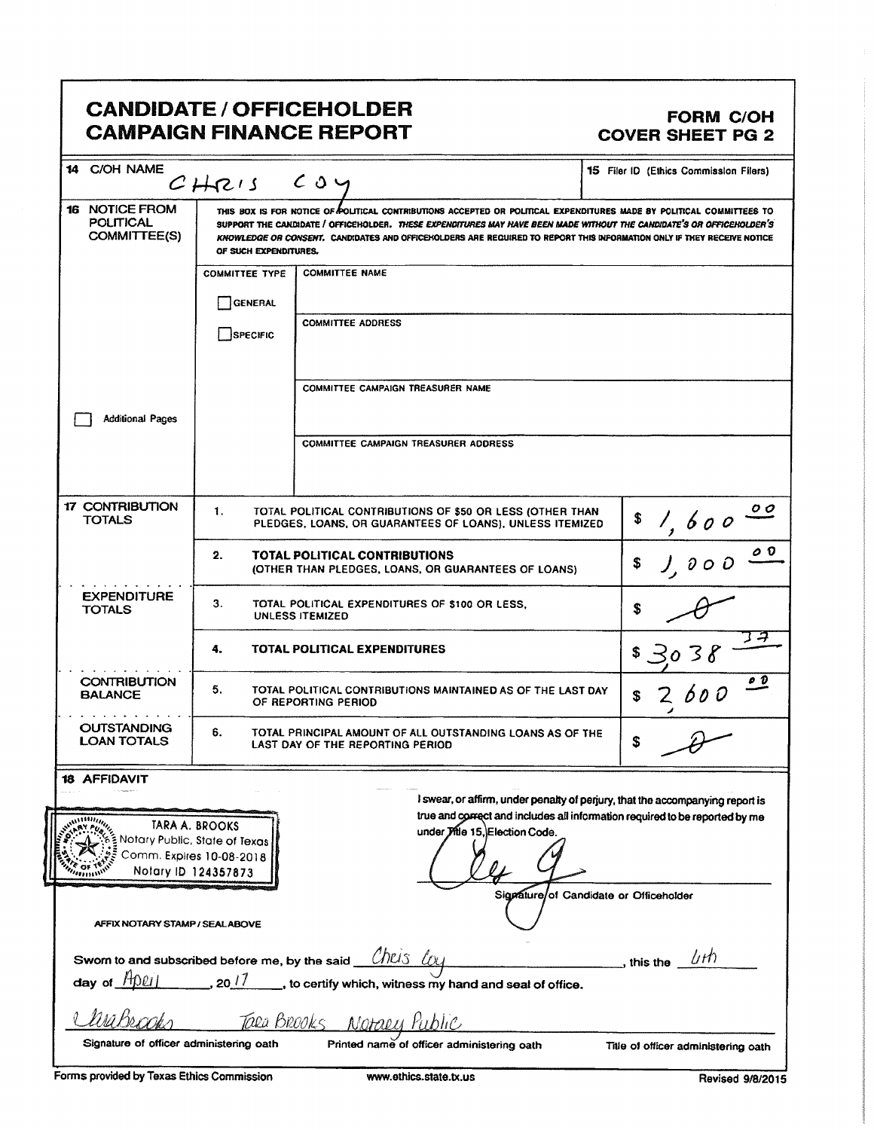|                                                               |                                                                                                    | <b>CANDIDATE / OFFICEHOLDER</b><br><b>CAMPAIGN FINANCE REPORT</b>                                                                                                                                                                                                                                                                                                       | <b>FORM C/OH</b><br><b>COVER SHEET PG 2</b>                                                                                                                  |
|---------------------------------------------------------------|----------------------------------------------------------------------------------------------------|-------------------------------------------------------------------------------------------------------------------------------------------------------------------------------------------------------------------------------------------------------------------------------------------------------------------------------------------------------------------------|--------------------------------------------------------------------------------------------------------------------------------------------------------------|
| <b>C/OH NAME</b><br>14                                        | CHRIS                                                                                              | COy                                                                                                                                                                                                                                                                                                                                                                     | 15 Filer ID (Ethics Commission Filers)                                                                                                                       |
| 16 NOTICE FROM<br><b>POLITICAL</b><br>COMMITTEE(S)            | OF SUCH EXPENDITURES.                                                                              | THIS BOX IS FOR NOTICE OF POLITICAL CONTRIBUTIONS ACCEPTED OR POLITICAL EXPENDITURES MADE BY POLITICAL COMMITTEES TO<br>SUPPORT THE CANDIDATE / OFFICEHOLDER. THESE EXPENDITURES MAY HAVE BEEN MADE WITHOUT THE CANDIDATE'S OR OFFICEHOLDER'S<br>KNOWLEDGE OR CONSENT. CANDIDATES AND OFFICENOLDERS ARE REQUIRED TO REPORT THIS INFORMATION ONLY IF THEY RECEIVE NOTICE |                                                                                                                                                              |
|                                                               | <b>COMMITTEE TYPE</b>                                                                              | <b>COMMITTEE NAME</b>                                                                                                                                                                                                                                                                                                                                                   |                                                                                                                                                              |
|                                                               | <b>GENERAL</b>                                                                                     |                                                                                                                                                                                                                                                                                                                                                                         |                                                                                                                                                              |
|                                                               | SPECIFIC                                                                                           | <b>COMMITTEE ADDRESS</b>                                                                                                                                                                                                                                                                                                                                                |                                                                                                                                                              |
|                                                               |                                                                                                    | <b>COMMITTEE CAMPAIGN TREASURER NAME</b>                                                                                                                                                                                                                                                                                                                                |                                                                                                                                                              |
| <b>Additional Pages</b>                                       |                                                                                                    | <b>COMMITTEE CAMPAIGN TREASURER ADDRESS</b>                                                                                                                                                                                                                                                                                                                             |                                                                                                                                                              |
| <b>17 CONTRIBUTION</b><br><b>TOTALS</b>                       | 1.                                                                                                 | TOTAL POLITICAL CONTRIBUTIONS OF \$50 OR LESS (OTHER THAN<br>PLEDGES, LOANS, OR GUARANTEES OF LOANS), UNLESS ITEMIZED                                                                                                                                                                                                                                                   | \$<br>600                                                                                                                                                    |
|                                                               | 2.                                                                                                 | TOTAL POLITICAL CONTRIBUTIONS<br>(OTHER THAN PLEDGES, LOANS, OR GUARANTEES OF LOANS)                                                                                                                                                                                                                                                                                    | 0 O<br>\$                                                                                                                                                    |
| <b>EXPENDITURE</b><br><b>TOTALS</b>                           | З.<br>TOTAL POLITICAL EXPENDITURES OF \$100 OR LESS.<br><b>UNLESS ITEMIZED</b>                     |                                                                                                                                                                                                                                                                                                                                                                         | \$                                                                                                                                                           |
|                                                               | 4.                                                                                                 | TOTAL POLITICAL EXPENDITURES                                                                                                                                                                                                                                                                                                                                            |                                                                                                                                                              |
| <b>CONTRIBUTION</b><br><b>BALANCE</b>                         | 5.                                                                                                 | TOTAL POLITICAL CONTRIBUTIONS MAINTAINED AS OF THE LAST DAY<br>OF REPORTING PERIOD                                                                                                                                                                                                                                                                                      | o D                                                                                                                                                          |
| <b>OUTSTANDING</b><br><b>LOAN TOTALS</b>                      | 6.                                                                                                 | TOTAL PRINCIPAL AMOUNT OF ALL OUTSTANDING LOANS AS OF THE<br>LAST DAY OF THE REPORTING PERIOD                                                                                                                                                                                                                                                                           | \$                                                                                                                                                           |
| <b>18 AFFIDAVIT</b>                                           |                                                                                                    |                                                                                                                                                                                                                                                                                                                                                                         |                                                                                                                                                              |
|                                                               | TARA A. BROOKS<br>Notary Public, State of Texas<br>Comm. Expires 10-08-2018<br>Notary ID 124357873 | under Jitle 15, Election Code.                                                                                                                                                                                                                                                                                                                                          | I swear, or affirm, under penalty of perjury, that the accompanying report is<br>true and correct and includes all information required to be reported by me |
| AFFIX NOTARY STAMP / SEALABOVE                                |                                                                                                    |                                                                                                                                                                                                                                                                                                                                                                         | Signature/of Candidate or Officeholder                                                                                                                       |
| Sworn to and subscribed before me, by the said<br>day of HOLI | $20^{17}$                                                                                          | Chris<br>to certify which, witness my hand and seal of office.                                                                                                                                                                                                                                                                                                          | _, this the $\phi$ // $\theta$                                                                                                                               |
|                                                               | Tala Brooks                                                                                        | Notaly                                                                                                                                                                                                                                                                                                                                                                  |                                                                                                                                                              |
| Signature of officer administering oath                       |                                                                                                    | Printed name of officer administering oath                                                                                                                                                                                                                                                                                                                              | Title of officer administering oath                                                                                                                          |
| Forms provided by Texas Ethics Commission                     |                                                                                                    | www.ethics.state.tx.us                                                                                                                                                                                                                                                                                                                                                  | Revised 9/8/2015                                                                                                                                             |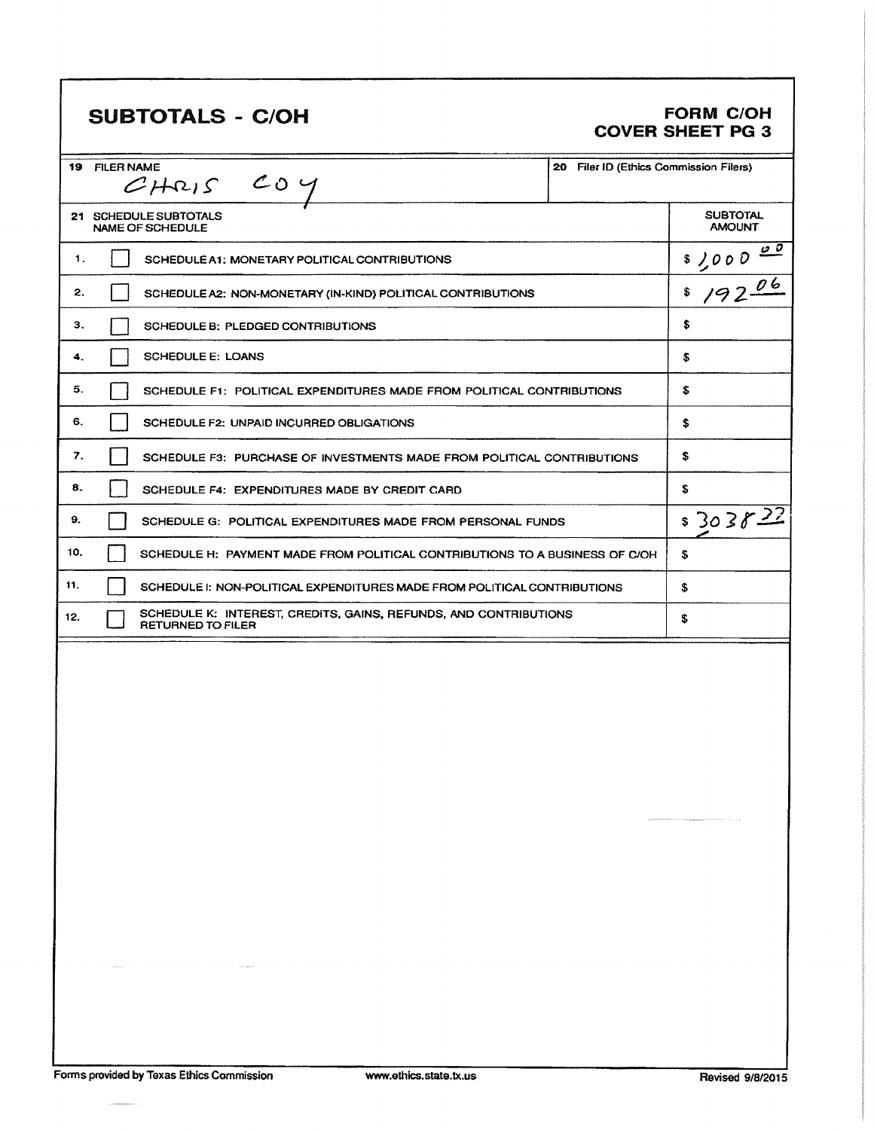# SUBTOTALS - C/OH FORM C/OH

# COVER SHEET PG 3

|     | 19 FILER NAME<br>20 Filer ID (Ethics Commission Filers)<br>$CHRIS$ COY                       |                                  |
|-----|----------------------------------------------------------------------------------------------|----------------------------------|
|     | 21 SCHEDULE SUBTOTALS<br>NAME OF SCHEDULE                                                    | <b>SUBTOTAL</b><br><b>AMOUNT</b> |
| 1.  | SCHEDULE A1: MONETARY POLITICAL CONTRIBUTIONS                                                | $$7000 \frac{00}{000}$           |
| 2.  | SCHEDULE A2: NON-MONETARY (IN-KIND) POLITICAL CONTRIBUTIONS                                  | 19206<br>\$                      |
| З.  | SCHEDULE B: PLEDGED CONTRIBUTIONS                                                            | \$                               |
| 4.  | <b>SCHEDULE E: LOANS</b>                                                                     | S                                |
| 5.  | SCHEDULE F1: POLITICAL EXPENDITURES MADE FROM POLITICAL CONTRIBUTIONS                        | \$                               |
| 6.  | SCHEDULE F2: UNPAID INCURRED OBLIGATIONS                                                     | \$                               |
| 7.  | SCHEDULE F3: PURCHASE OF INVESTMENTS MADE FROM POLITICAL CONTRIBUTIONS                       | \$                               |
| 8.  | SCHEDULE F4: EXPENDITURES MADE BY CREDIT CARD                                                | s                                |
| 9.  | SCHEDULE G: POLITICAL EXPENDITURES MADE FROM PERSONAL FUNDS                                  | \$30382                          |
| 10. | SCHEDULE H: PAYMENT MADE FROM POLITICAL CONTRIBUTIONS TO A BUSINESS OF C/OH                  | \$                               |
| 11. | SCHEDULE I: NON-POLITICAL EXPENDITURES MADE FROM POLITICAL CONTRIBUTIONS                     | \$                               |
| 12. | SCHEDULE K: INTEREST, CREDITS, GAINS, REFUNDS, AND CONTRIBUTIONS<br><b>RETURNED TO FILER</b> | \$                               |
|     |                                                                                              |                                  |
|     |                                                                                              |                                  |
|     |                                                                                              |                                  |
|     |                                                                                              |                                  |
|     |                                                                                              |                                  |
|     |                                                                                              |                                  |
|     |                                                                                              |                                  |
|     |                                                                                              |                                  |
|     |                                                                                              |                                  |
|     |                                                                                              |                                  |
|     |                                                                                              |                                  |
|     |                                                                                              |                                  |
|     |                                                                                              |                                  |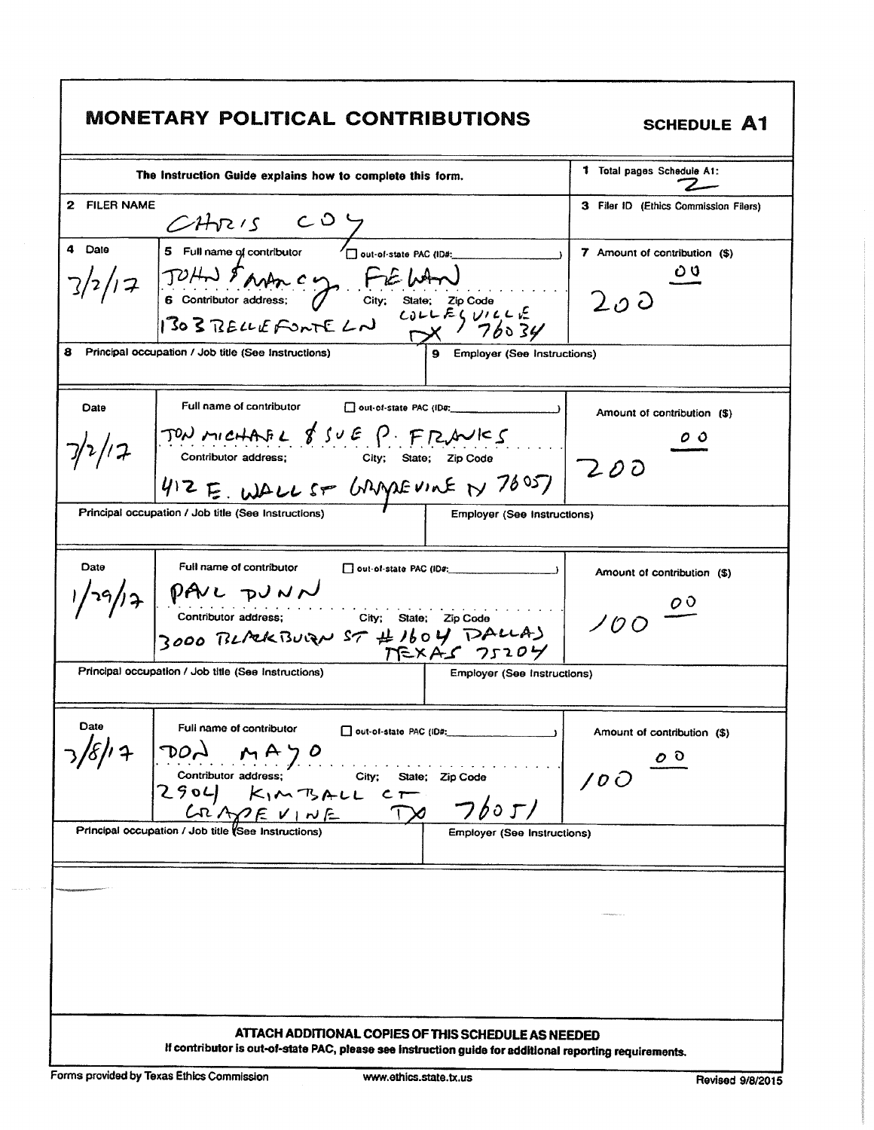|                | <b>MONETARY POLITICAL CONTRIBUTIONS</b>                                                                                                                                                                                                                                                                                                                 | <b>SCHEDULE A1</b>                                                          |
|----------------|---------------------------------------------------------------------------------------------------------------------------------------------------------------------------------------------------------------------------------------------------------------------------------------------------------------------------------------------------------|-----------------------------------------------------------------------------|
|                | The Instruction Guide explains how to complete this form.                                                                                                                                                                                                                                                                                               | <b>1</b> Total pages Schedule A1:                                           |
| 2 FILER NAME   | $\mathcal{LHS}$ / $\mathcal{S}$ $\mathcal{S}$ $\mathcal{S}$ $\mathcal{S}$ $\mathcal{S}$ $\mathcal{S}$ $\mathcal{S}$ $\mathcal{S}$ $\mathcal{S}$ $\mathcal{S}$ $\mathcal{S}$ $\mathcal{S}$ $\mathcal{S}$ $\mathcal{S}$ $\mathcal{S}$ $\mathcal{S}$ $\mathcal{S}$ $\mathcal{S}$ $\mathcal{S}$ $\mathcal{S}$ $\mathcal{S}$ $\mathcal{S}$ $\mathcal{S}$ $\$ | 3 Filer ID (Ethics Commission Filers)                                       |
| 4<br>Date<br>8 | $7/2/17$ JUHN \$ AND C Y FIELAN<br>Principal occupation / Job title (See Instructions)<br><b>Employer (See Instructions)</b>                                                                                                                                                                                                                            | 7 Amount of contribution (\$)<br>200                                        |
| Date           | Full name of contributor<br>out-of-state PAC (IDs:<br>$7/2/12$ TON MICHAFL 8 SUE P. FRAVICS<br>412E. WALLST GRAPEVINE N 78057 200<br>Principal occupation / Job title (See Instructions)<br><b>Employer (See Instructions)</b>                                                                                                                          | Amount of contribution (\$)<br>o o                                          |
| Date           | Full name of contributor<br>V29/17 PAVL DUNN<br>Contributor address; City; State; Zip Code<br>3000 BL/24 BUCAN ST # 1604 DALLA)<br>Principal occupation / Job title (See Instructions)<br><b>Employer (See Instructions)</b>                                                                                                                            | Amount of contribution (\$)<br>$\overline{\mathcal{O}}$<br>100 <sup>o</sup> |
| Date           | Full name of contributor<br>Out-of-state PAC (ID#;<br>$\mathbf{A}$<br>$7/8/12$<br>DON MAYO<br>Contributor address;<br>$2904$<br>K <sub>1</sub> M T <sub>2</sub> ALL CT<br>CRAYE V <sub>1</sub> NE VIE<br>Principal occupation / Job title (See Instructions)<br>State; Zip Code<br>フboエノ<br><b>Employer (See Instructions)</b>                          | Amount of contribution (\$)<br>$\circ$ $\circ$<br>100                       |
|                |                                                                                                                                                                                                                                                                                                                                                         |                                                                             |
|                | ATTACH ADDITIONAL COPIES OF THIS SCHEDULE AS NEEDED<br>If contributor is out-of-state PAC, please see instruction guide for additional reporting requirements.                                                                                                                                                                                          |                                                                             |

Г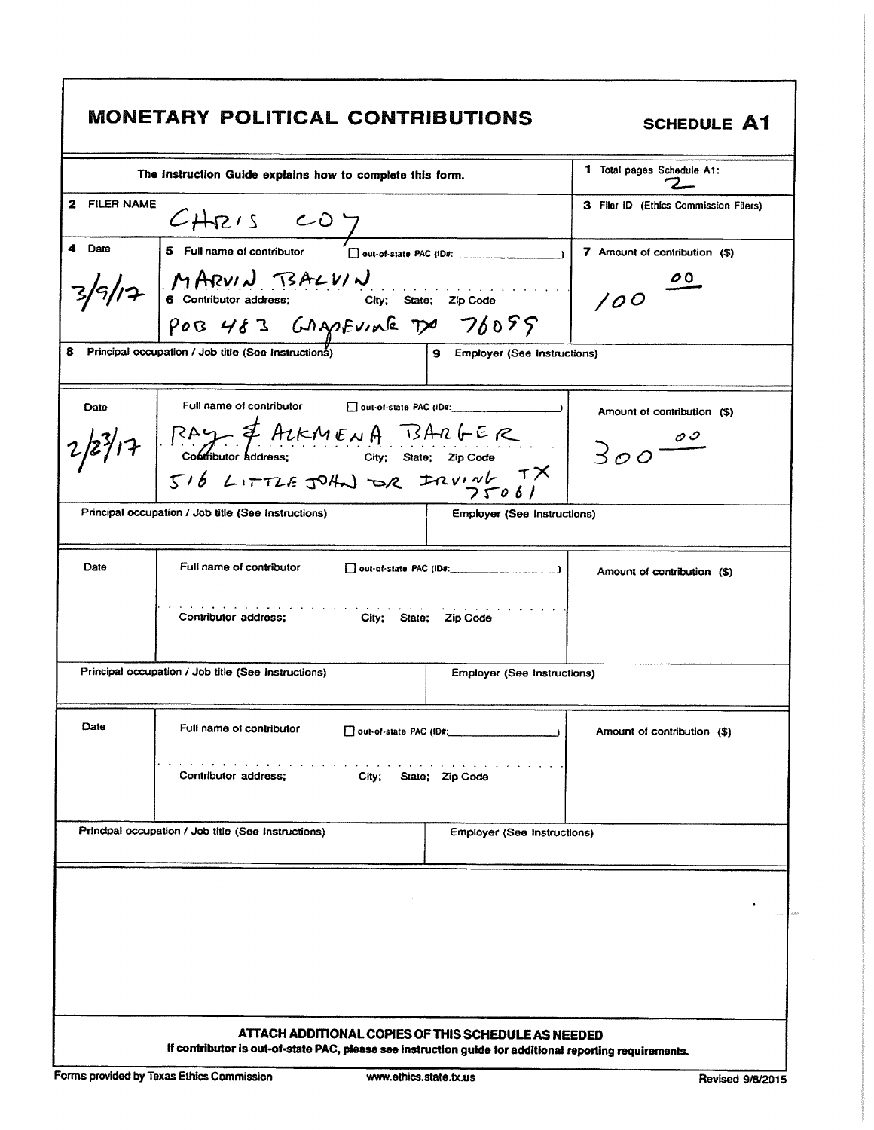|                        | <b>MONETARY POLITICAL CONTRIBUTIONS</b>                                                                                                                        |                                        | <b>SCHEDULE A1</b>                    |
|------------------------|----------------------------------------------------------------------------------------------------------------------------------------------------------------|----------------------------------------|---------------------------------------|
|                        | The Instruction Guide explains how to complete this form.                                                                                                      | 1 Total pages Schedule A1:             |                                       |
| <b>FILER NAME</b><br>2 | GHRIS CO T<br>5 Full name of contributor Dout-of-state PAC (IDs:                                                                                               |                                        | 3 Filer ID (Ethics Commission Filers) |
| Date                   |                                                                                                                                                                |                                        | 7 Amount of contribution (\$)         |
|                        | $\frac{1}{3}/9/17$ MARVIN BALVIN<br>6 Contributor address: City; State; Zip Code<br>POB 483 GAMEVINE TX 76099                                                  |                                        | $\overline{\mathcal{O}}$<br>100       |
|                        |                                                                                                                                                                |                                        |                                       |
| 8                      | Principal occupation / Job title (See Instructions)                                                                                                            | 9 Employer (See Instructions)          |                                       |
| Date                   | Full name of contributor<br>out-of-state PAC (IDs:                                                                                                             |                                        | Amount of contribution (\$)           |
|                        | 23/17 SAY & ALKMENA BARGER<br>Contibutor Address: City: State; Zip Code<br>516 LITTLE JOHN DR IRVING TX                                                        |                                        | $300 - 00$                            |
|                        |                                                                                                                                                                |                                        |                                       |
|                        | Principal occupation / Job title (See Instructions)                                                                                                            | Employer (See Instructions)            |                                       |
| Date                   | Full name of contributor                                                                                                                                       | $\Box$ out-of-state PAC (iD#: $\Box$ ) | Amount of contribution (\$)           |
|                        | and a series and a<br>Contributor address; City; State; Zip Code                                                                                               |                                        |                                       |
|                        | Principal occupation / Job title (See Instructions)                                                                                                            | <b>Employer (See Instructions)</b>     |                                       |
| Date                   | Full name of contributor<br>out-of-state PAC (ID#)                                                                                                             |                                        | Amount of contribution (\$)           |
|                        | Contributor address;<br>City;                                                                                                                                  | State; Zip Code                        |                                       |
|                        | Principal occupation / Job title (See Instructions)                                                                                                            | <b>Employer (See Instructions)</b>     |                                       |
|                        |                                                                                                                                                                |                                        |                                       |
|                        | ATTACH ADDITIONAL COPIES OF THIS SCHEDULE AS NEEDED<br>If contributor is out-of-state PAC, please see instruction guide for additional reporting requirements. |                                        |                                       |

I

٦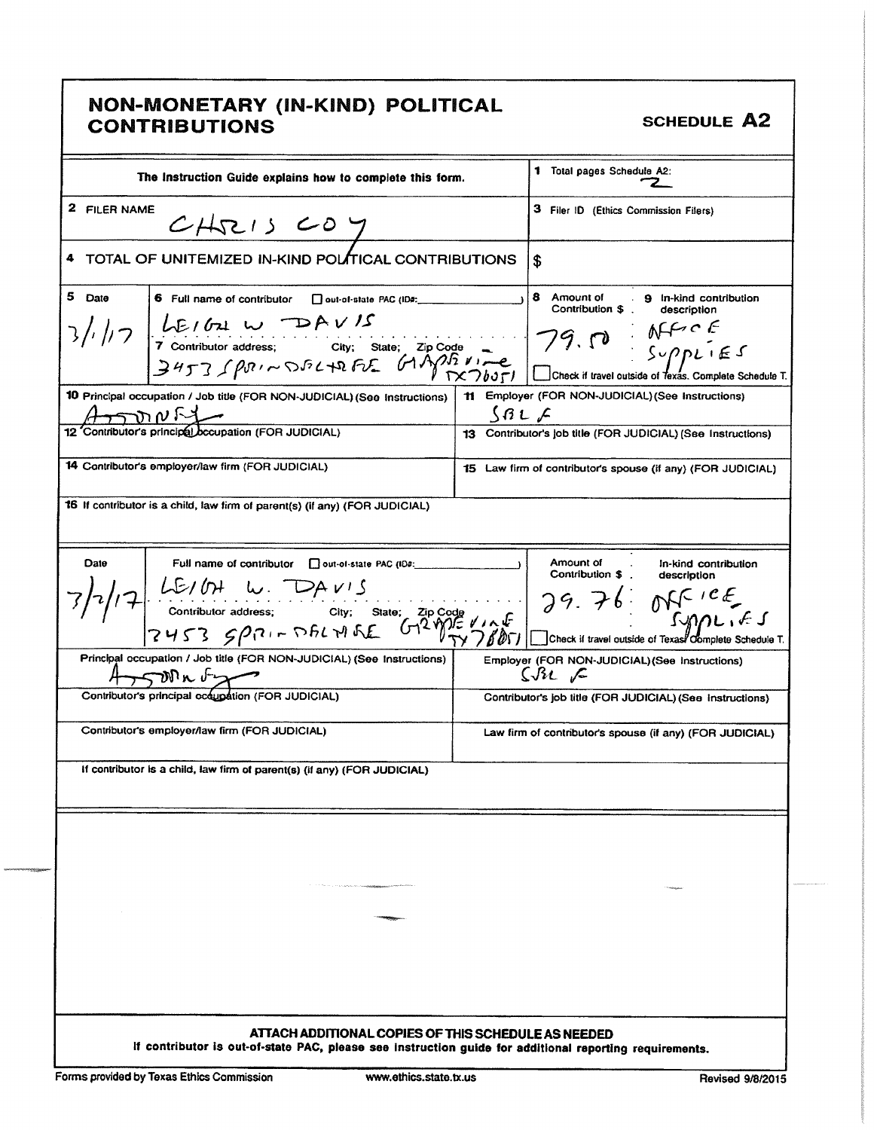# NON- MONETARY ( IN- KIND) POLITICAL CONTRIBUTIONS **SCHEDULE** A2

| The Instruction Guide explains how to complete this form.                                                                                                                                                                                                                                                                                                                                                                 | 1 Total pages Schedule A2:                                                        |
|---------------------------------------------------------------------------------------------------------------------------------------------------------------------------------------------------------------------------------------------------------------------------------------------------------------------------------------------------------------------------------------------------------------------------|-----------------------------------------------------------------------------------|
| 2 FILER NAME<br>CHRISCOY                                                                                                                                                                                                                                                                                                                                                                                                  | 3 Filer ID (Ethics Commission Filers)                                             |
| TOTAL OF UNITEMIZED IN-KIND POLITICAL CONTRIBUTIONS                                                                                                                                                                                                                                                                                                                                                                       | \$                                                                                |
| 5 Date<br>6 Full name of contributor control-state PAC (ID#:<br>$\frac{1}{2}$ ///7<br>$\frac{1}{2}$<br>$\frac{1}{2}$ contributor address; City; State; Zip Code<br>$\frac{1}{2}$<br>$\frac{1}{2}$<br>$\frac{1}{2}$<br>$\frac{1}{2}$<br>$\frac{1}{2}$<br>$\frac{1}{2}$<br>$\frac{1}{2}$<br>$\frac{1}{2}$<br>$\frac{1}{2}$<br>$\frac{1}{2}$<br>$\frac{1}{2}$<br>$\frac{1}{2}$<br>$\frac{1}{2}$<br>$\frac{1}{2}$<br>$\frac{$ | 8 Amount of<br>. 9 In-kind contribution<br>Contribution \$.<br>description        |
| 10 Principal occupation / Job title (FOR NON-JUDICIAL) (See Instructions)                                                                                                                                                                                                                                                                                                                                                 | 11 Employer (FOR NON-JUDICIAL) (See Instructions)                                 |
| $\overbrace{12}$ Contributor's principal occupation (FOR JUDICIAL)                                                                                                                                                                                                                                                                                                                                                        | SALC<br>13 Contributor's job title (FOR JUDICIAL) (See Instructions)              |
|                                                                                                                                                                                                                                                                                                                                                                                                                           |                                                                                   |
| 14 Contributor's employer/law firm (FOR JUDICIAL)                                                                                                                                                                                                                                                                                                                                                                         | 15 Law firm of contributor's spouse (if any) (FOR JUDICIAL)                       |
| 16 If contributor is a child, law firm of parent(s) (if any) (FOR JUDICIAL)                                                                                                                                                                                                                                                                                                                                               |                                                                                   |
| Date<br>Full name of contributor cout-of-state PAC (ID#:<br>17 LE/OH W. DAVIS<br>contributor address; city; state; zip code<br>7453 $5921 - 561 + 65$<br>CHS3 $5921 - 561 + 65$<br>CHS3 $5921 - 561 + 65$<br>CHS3 $5921 - 561 + 65$<br>CHS3 $5921 - 561 + 65$<br>CHS3 $5921 - 561 + 65$<br>CHS3 $5921 - 561 + 65$                                                                                                         | Amount of<br>In-kind contribution<br>Contribution \$<br>description               |
| Principal occupation / Job title (FOR NON-JUDICIAL) (See Instructions)<br>$4.5$ $\frac{1000 \text{ m} \cdot \sqrt{2}}{200 \text{ m} \cdot \sqrt{200}}$<br>Contributor's principal occupation (FOR JUDICIAL)                                                                                                                                                                                                               | Employer (FOR NON-JUDICIAL) (See Instructions)<br>$S_{\mathcal{H}}$ $\mathcal{L}$ |
|                                                                                                                                                                                                                                                                                                                                                                                                                           | Contributor's job title (FOR JUDICIAL) (See instructions)                         |
| Contributor's employer/law firm (FOR JUDICIAL)                                                                                                                                                                                                                                                                                                                                                                            | Law firm of contributor's spouse (if any) (FOR JUDICIAL)                          |
| If contributor is a child, law firm of parent(s) (if any) (FOR JUDICIAL)                                                                                                                                                                                                                                                                                                                                                  |                                                                                   |
|                                                                                                                                                                                                                                                                                                                                                                                                                           |                                                                                   |
| ATTACH ADDITIONAL COPIES OF THIS SCHEDULE AS NEEDED<br>If contributor is out-of-state PAC, please see instruction guide for additional reporting requirements.                                                                                                                                                                                                                                                            |                                                                                   |
| Forms provided by Texas Ethics Commission<br>www.ethics.state.tx.us                                                                                                                                                                                                                                                                                                                                                       | <b>Revised 9/8/2015</b>                                                           |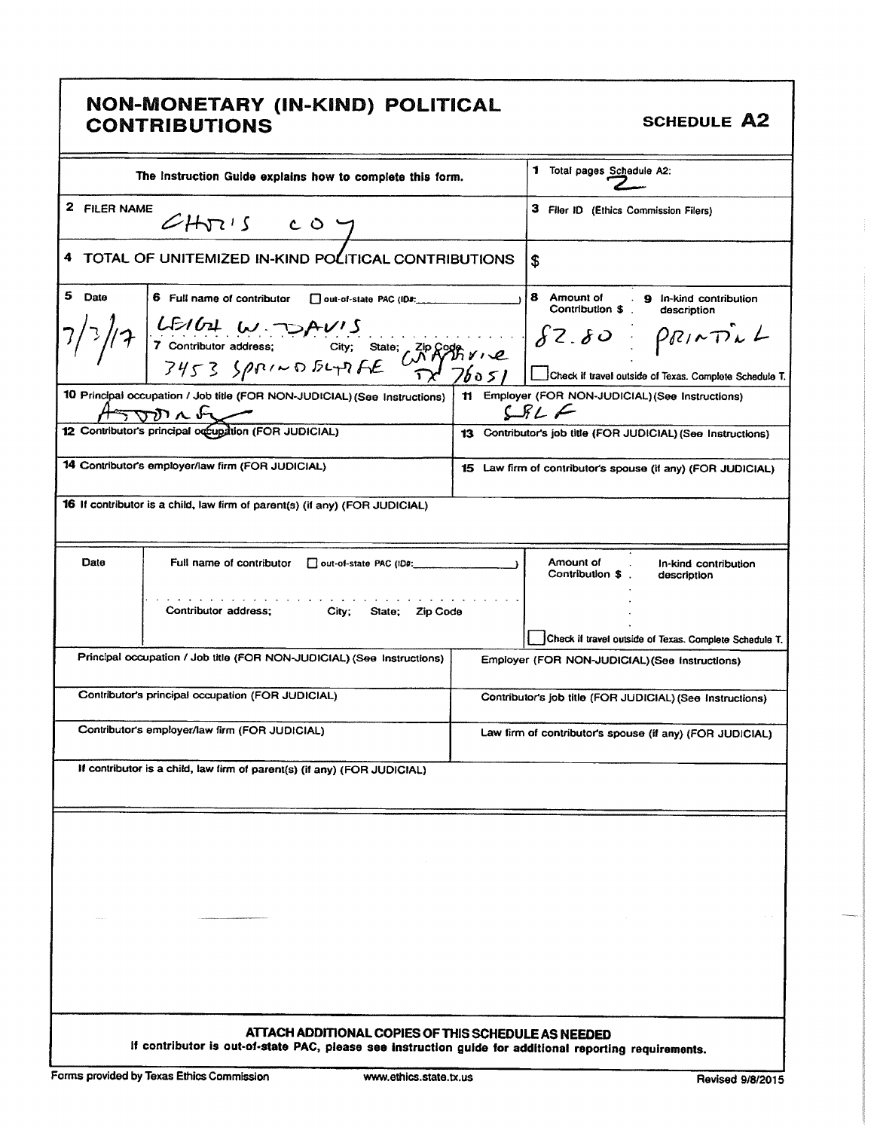# NON—MONETARY ( IN- KIND) POLITICAL CONTRIBUTIONS (IN THIS) I SENTORE SCHEDULE AS

|              | The Instruction Guide explains how to complete this form.                                                                                                                                                                                                                   | 1 Total pages Schedule A2:                                                                 |                                                                                                                                   |
|--------------|-----------------------------------------------------------------------------------------------------------------------------------------------------------------------------------------------------------------------------------------------------------------------------|--------------------------------------------------------------------------------------------|-----------------------------------------------------------------------------------------------------------------------------------|
| 2 FILER NAME | CHVISCOY                                                                                                                                                                                                                                                                    | 3 Filer ID (Ethics Commission Filers)                                                      |                                                                                                                                   |
| 4            | TOTAL OF UNITEMIZED IN-KIND POLITICAL CONTRIBUTIONS                                                                                                                                                                                                                         | \$                                                                                         |                                                                                                                                   |
| 5.<br>Date   | 6 Full name of contributor cout-of-state PAC (ID#:<br>LEIGH W DAVIS<br>7 contributor address: City; State; ZID ROOM VIE<br>7453 SPRIND BLTDFE 02 76051                                                                                                                      | 8 Amount of . 9 In-kind contribution<br>Contribution \$<br>description<br>$82.80$ PRINTILL |                                                                                                                                   |
|              | 10 Principal occupation / Job title (FOR NON-JUDICIAL) (See Instructions)<br>$\overbrace{12}$ Contributor's principal or<br>$\overbrace{22}$ Contributor's principal or<br>$\overbrace{22}$ Contributor's principal or<br>$\overbrace{22}$ OCCU <sub>2</sub> (FOR JUDICIAL) |                                                                                            | Check if travel outside of Texas. Complete Schedule T.<br>11 Employer (FOR NON-JUDICIAL) (See Instructions)<br>$SPL$ $\leftarrow$ |
|              |                                                                                                                                                                                                                                                                             |                                                                                            | 13 Contributor's job title (FOR JUDICIAL) (See Instructions)                                                                      |
|              | 14 Contributor's employer/law firm (FOR JUDICIAL)                                                                                                                                                                                                                           |                                                                                            | 15 Law firm of contributor's spouse (if any) (FOR JUDICIAL)                                                                       |
|              | 16 If contributor is a child, law firm of parent(s) (if any) (FOR JUDICIAL)                                                                                                                                                                                                 |                                                                                            |                                                                                                                                   |
| Date         | Full name of contributor<br>out-of-state PAC (ID#:                                                                                                                                                                                                                          |                                                                                            | Amount of<br>In-kind contribution<br>Contribution \$<br>description                                                               |
|              | Contributor address:<br>City;<br>Zip Code<br>State;                                                                                                                                                                                                                         |                                                                                            | Check if travel outside of Texas. Complete Schedule T.                                                                            |
|              | Principal occupation / Job title (FOR NON-JUDICIAL) (See Instructions)                                                                                                                                                                                                      |                                                                                            | Employer (FOR NON-JUDICIAL) (See Instructions)                                                                                    |
|              | Contributor's principal occupation (FOR JUDICIAL)                                                                                                                                                                                                                           |                                                                                            | Contributor's job title (FOR JUDICIAL) (See Instructions)                                                                         |
|              | Contributor's employer/law firm (FOR JUDICIAL)                                                                                                                                                                                                                              |                                                                                            | Law firm of contributor's spouse (if any) (FOR JUDICIAL)                                                                          |
|              | If contributor is a child, law firm of parent(s) (if any) (FOR JUDICIAL)                                                                                                                                                                                                    |                                                                                            |                                                                                                                                   |
|              |                                                                                                                                                                                                                                                                             |                                                                                            |                                                                                                                                   |
|              |                                                                                                                                                                                                                                                                             |                                                                                            |                                                                                                                                   |
|              |                                                                                                                                                                                                                                                                             |                                                                                            |                                                                                                                                   |
|              |                                                                                                                                                                                                                                                                             |                                                                                            |                                                                                                                                   |
|              |                                                                                                                                                                                                                                                                             |                                                                                            |                                                                                                                                   |
|              | ATTACH ADDITIONAL COPIES OF THIS SCHEDULE AS NEEDED<br>If contributor is out-of-state PAC, please see instruction guide for additional reporting requirements.                                                                                                              |                                                                                            |                                                                                                                                   |
|              |                                                                                                                                                                                                                                                                             |                                                                                            |                                                                                                                                   |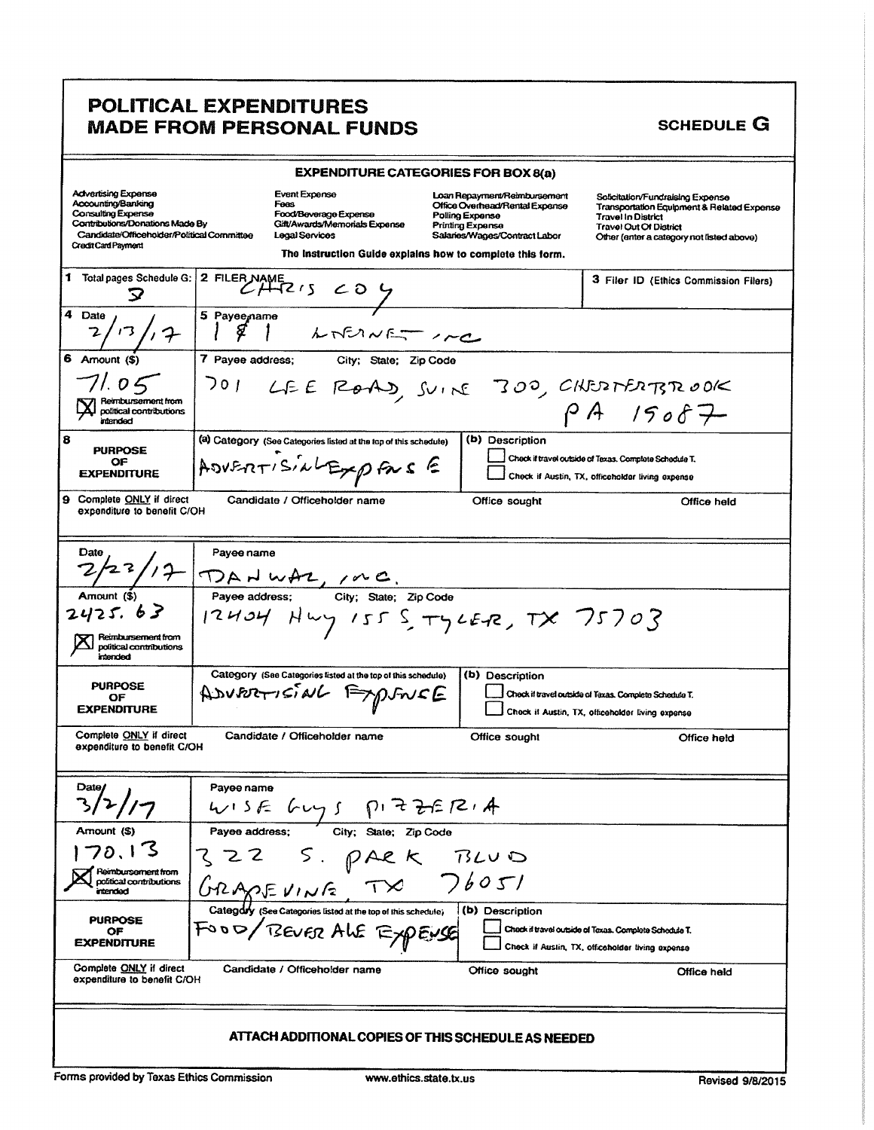# **POLITICAL EXPENDITURES MADE FROM PERSONAL FUNDS**

#### **SCHEDULE G**

|                                                                                                                                                                                       |                                                                                                                                                                                                                                                                                                    |                       | <b>EXPENDITURE CATEGORIES FOR BOX 8(a)</b>                                                                                                                                                                 |                                                                                                                                                                                           |  |  |
|---------------------------------------------------------------------------------------------------------------------------------------------------------------------------------------|----------------------------------------------------------------------------------------------------------------------------------------------------------------------------------------------------------------------------------------------------------------------------------------------------|-----------------------|------------------------------------------------------------------------------------------------------------------------------------------------------------------------------------------------------------|-------------------------------------------------------------------------------------------------------------------------------------------------------------------------------------------|--|--|
| <b>Advertising Expense</b><br>Accounting/Banking<br><b>Consulting Expense</b><br>Contributions/Donations Made By<br>Candidate/Officeholder/Political Committee<br>Credit Card Payment | <b>Event Expense</b><br>Fees<br>Food/Beverage Expense<br>Gift/Awards/Memorials Expense<br>Legal Services                                                                                                                                                                                           |                       | Loan Repayment/Reimbursement<br>Office Overhead/Rental Expense<br>Polling Expense<br><b>Printing Expense</b><br>Salaries/Wages/Contract Labor<br>The Instruction Guide explains how to complete this form. | Solicitation/Fundraising Expense<br>Transportation Equipment & Related Expense<br><b>Travel In District</b><br><b>Travel Out Of District</b><br>Other (enter a category not listed above) |  |  |
| 1 Total pages Schedule G:                                                                                                                                                             | $\overline{f^2}$ FILER NAME                                                                                                                                                                                                                                                                        |                       |                                                                                                                                                                                                            | 3 Filer ID (Ethics Commission Filers)                                                                                                                                                     |  |  |
| 4<br>Date                                                                                                                                                                             | 5 Payee name<br>ℒ<br>LNEINE - 1mc                                                                                                                                                                                                                                                                  |                       |                                                                                                                                                                                                            |                                                                                                                                                                                           |  |  |
| 6 Amount (\$)                                                                                                                                                                         | 7 Payee address;                                                                                                                                                                                                                                                                                   | City; State; Zip Code |                                                                                                                                                                                                            |                                                                                                                                                                                           |  |  |
| 71.05<br>Reimbursement from<br>political contributions                                                                                                                                | 701 LEE ROAD, SUINE 300, CHESTERTS ROOK                                                                                                                                                                                                                                                            |                       |                                                                                                                                                                                                            |                                                                                                                                                                                           |  |  |
| intended                                                                                                                                                                              |                                                                                                                                                                                                                                                                                                    |                       |                                                                                                                                                                                                            | PA 15087                                                                                                                                                                                  |  |  |
| 8<br><b>PURPOSE</b><br>ОF                                                                                                                                                             | (a) Category (See Categories listed at the top of this schedule)<br>ADVERTISINLEXPFRSE                                                                                                                                                                                                             |                       | (b) Description                                                                                                                                                                                            | Check if travel outside of Texas. Complete Schedule T.                                                                                                                                    |  |  |
| <b>EXPENDITURE</b>                                                                                                                                                                    |                                                                                                                                                                                                                                                                                                    |                       |                                                                                                                                                                                                            | Check if Austin, TX, officeholder living expense                                                                                                                                          |  |  |
| 9 Complete ONLY if direct<br>expenditure to benefit C/OH                                                                                                                              | Candidate / Officeholder name                                                                                                                                                                                                                                                                      |                       | Office sought                                                                                                                                                                                              | Office held                                                                                                                                                                               |  |  |
| Date                                                                                                                                                                                  | Payee name                                                                                                                                                                                                                                                                                         |                       |                                                                                                                                                                                                            |                                                                                                                                                                                           |  |  |
| Amount (\$)                                                                                                                                                                           | $\frac{122}{12}$ $\frac{12}{12}$ $\frac{120}$ $\frac{120}$ $\frac{120}$ $\frac{120}$ $\frac{120}$ $\frac{120}$ $\frac{120}$ $\frac{120}$ $\frac{120}$ $\frac{120}$ $\frac{120}$ $\frac{120}$ $\frac{120}$ $\frac{120}$ $\frac{120}$ $\frac{120}$ $\frac{120}$ $\frac{120}$ $\frac{120}$ $\frac{12$ |                       |                                                                                                                                                                                                            |                                                                                                                                                                                           |  |  |
| 2425.63<br>Reimbursement from<br>political contributions<br>intended                                                                                                                  | 12404 Hwy 155 STYLER, TX 75703                                                                                                                                                                                                                                                                     |                       |                                                                                                                                                                                                            |                                                                                                                                                                                           |  |  |
|                                                                                                                                                                                       | Category (See Categories listed at the top of this schedule)                                                                                                                                                                                                                                       |                       | (b) Description                                                                                                                                                                                            |                                                                                                                                                                                           |  |  |
| <b>PURPOSE</b><br>OF<br><b>EXPENDITURE</b>                                                                                                                                            | ADVERTISING EXPLOYE                                                                                                                                                                                                                                                                                |                       |                                                                                                                                                                                                            | Check if travel outside of Texas. Complete Schedule T.<br>Check if Austin, TX, officeholder living expense                                                                                |  |  |
| Complete ONLY if direct<br>expenditure to benefit C/OH                                                                                                                                | Candidate / Officeholder name                                                                                                                                                                                                                                                                      |                       | Office sought                                                                                                                                                                                              | Office held                                                                                                                                                                               |  |  |
|                                                                                                                                                                                       |                                                                                                                                                                                                                                                                                                    |                       |                                                                                                                                                                                                            |                                                                                                                                                                                           |  |  |
| Date/<br>3/2/17                                                                                                                                                                       | Payee name<br>$uv1SE$ $fuy1$                                                                                                                                                                                                                                                                       | 775774<br>ו ק         |                                                                                                                                                                                                            |                                                                                                                                                                                           |  |  |
| Amount (\$)                                                                                                                                                                           | Pavee address:                                                                                                                                                                                                                                                                                     | City; State; Zip Code |                                                                                                                                                                                                            |                                                                                                                                                                                           |  |  |
| 70.13                                                                                                                                                                                 | てこて                                                                                                                                                                                                                                                                                                |                       |                                                                                                                                                                                                            |                                                                                                                                                                                           |  |  |
| Reimbursement from<br>political contributions<br>intended                                                                                                                             | 322 S. PARK BLUD<br>GRAPEVINE TX 76051                                                                                                                                                                                                                                                             |                       |                                                                                                                                                                                                            |                                                                                                                                                                                           |  |  |
| <b>PURPOSE</b>                                                                                                                                                                        | Category (See Categories listed at the top of this schedule)                                                                                                                                                                                                                                       |                       | (b) Description                                                                                                                                                                                            |                                                                                                                                                                                           |  |  |
| ОF<br><b>EXPENDITURE</b>                                                                                                                                                              | FOOD/BEVER ALE EXPENSE                                                                                                                                                                                                                                                                             |                       |                                                                                                                                                                                                            | Check if travel outside of Toxas. Complete Schedule T.<br>Check if Austin, TX, officeholder living expense                                                                                |  |  |
| Complete <b>ONLY</b> if direct<br>expenditure to benefit C/OH                                                                                                                         | Candidate / Officeholder name                                                                                                                                                                                                                                                                      |                       | Office sought                                                                                                                                                                                              | Office held                                                                                                                                                                               |  |  |
| ATTACH ADDITIONAL COPIES OF THIS SCHEDULE AS NEEDED                                                                                                                                   |                                                                                                                                                                                                                                                                                                    |                       |                                                                                                                                                                                                            |                                                                                                                                                                                           |  |  |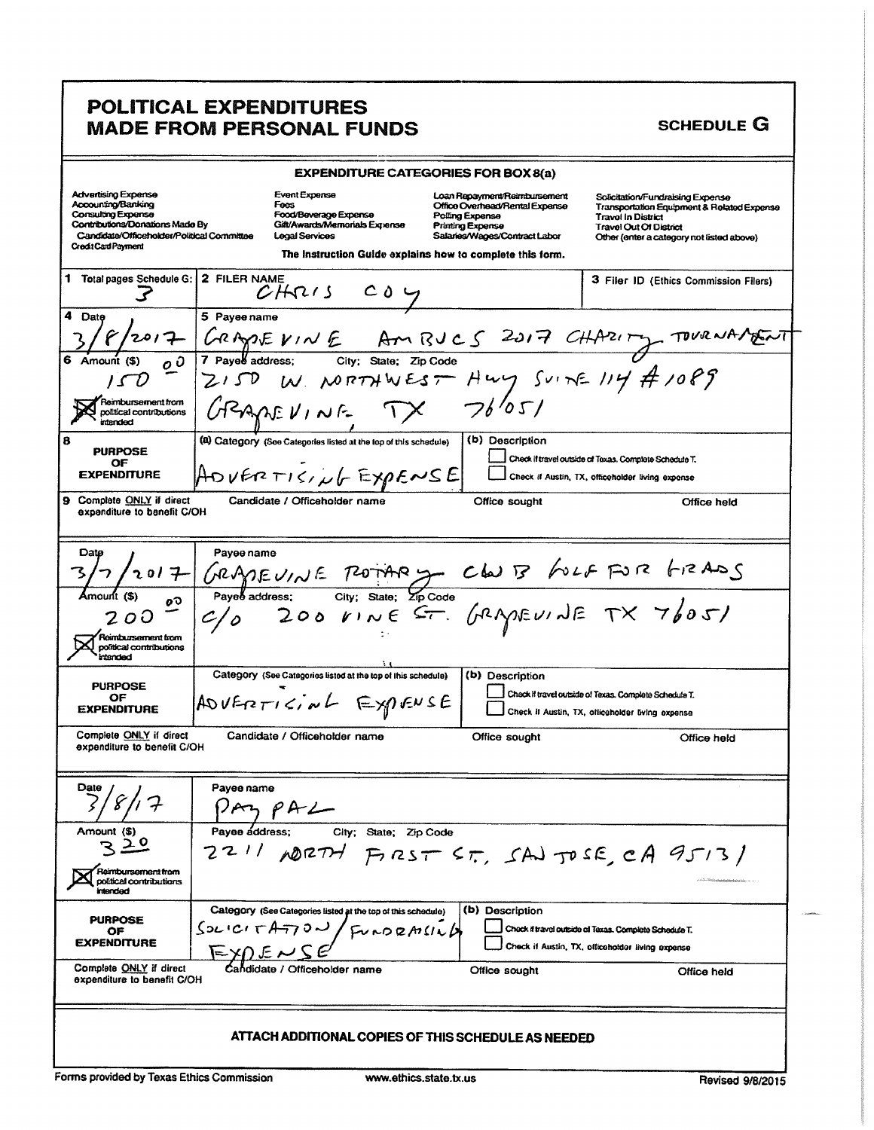# POLITICAL EXPENDITURES **MADE FROM PERSONAL FUNDS**

#### **SCHEDULE G**

| <b>EXPENDITURE CATEGORIES FOR BOX 8(a)</b>                                                                                                                              |                        |                                                                                                                    |                                                           |                                                                                                                                               |                 |                                                                                                            |                                                                                         |
|-------------------------------------------------------------------------------------------------------------------------------------------------------------------------|------------------------|--------------------------------------------------------------------------------------------------------------------|-----------------------------------------------------------|-----------------------------------------------------------------------------------------------------------------------------------------------|-----------------|------------------------------------------------------------------------------------------------------------|-----------------------------------------------------------------------------------------|
| Advertising Expense<br>Accounting/Banking<br>Consulting Expense<br>Contributions/Donations Made By<br>Candidate/Officeholder/Political Committee<br>Credit Card Payment |                        | Event Expense<br>Fees<br>Food/Beverage Expense<br>Gift/Awards/Memorials Expense<br><b>Legal Services</b>           | The instruction Guide explains how to complete this form. | Loan Repayment/Reimbursement<br>Office Overhead/Rental Expense<br>Polling Expense<br><b>Printing Expense</b><br>Salaries/Wages/Contract Labor |                 | Solicitation/Fundraising Expense<br><b>Travol in District</b><br><b>Travel Out Of District</b>             | Transportation Equipment & Related Expense<br>Other (enter a category not listed above) |
| 1 Total pages Schedule G:                                                                                                                                               | 2 FILER NAME           | CHRIS COY                                                                                                          |                                                           |                                                                                                                                               |                 |                                                                                                            | 3 Filer ID (Ethics Commission Filers)                                                   |
| 4<br>Date<br>Amount (\$)                                                                                                                                                | 5 Payee name           | ZISD W NORTHWEST HWY SUINE 114 # 1089                                                                              |                                                           |                                                                                                                                               |                 |                                                                                                            | CRADEVINE AMBJCS 2017 CHARITY TOURNAMENT                                                |
| Reimbursement from<br>political contributions<br><b>intended</b>                                                                                                        |                        | GRAMEVINE                                                                                                          |                                                           |                                                                                                                                               | 76'051          |                                                                                                            |                                                                                         |
| 8<br><b>PURPOSE</b><br>ОF<br><b>EXPENDITURE</b>                                                                                                                         |                        | (a) Category (See Categories listed at the top of this schedule)<br>$[{\rm A\sigma}$ VERTISING EXPENSE             |                                                           |                                                                                                                                               | (b) Description | Check if travel outside of Texas. Complete Schedule T.<br>Check if Austin, TX, officeholder living expense |                                                                                         |
| 9 Complete ONLY if direct<br>expenditure to benefit C/OH                                                                                                                |                        | Candidate / Officeholder name                                                                                      |                                                           |                                                                                                                                               | Office sought   |                                                                                                            | Office held                                                                             |
| Date<br>12017<br>οŌ                                                                                                                                                     | Payee name             | GRADEUINE POTARY CLUB FOLF FOR GRADS<br>Payebaddress: City: State: 21p Code<br>C/0 200 VINE ST. GRADEUINE TX 7605) |                                                           |                                                                                                                                               |                 |                                                                                                            |                                                                                         |
| 200<br><b>Reimbursement from</b><br>political contributions<br>intended                                                                                                 |                        |                                                                                                                    |                                                           |                                                                                                                                               |                 |                                                                                                            |                                                                                         |
| <b>PURPOSE</b><br>OF<br><b>EXPENDITURE</b>                                                                                                                              |                        | Category (See Categories listed at the top of this schedule)<br>ADVERTICING EXPENSE                                |                                                           |                                                                                                                                               | (b) Description | Check if travel outside of Texas. Complete Schedula T.<br>Check II Austin, TX, officeholder living expense |                                                                                         |
| Complete ONLY if direct<br>expenditure to benefit C/OH                                                                                                                  |                        | Candidate / Officeholder name                                                                                      |                                                           |                                                                                                                                               | Office sought   |                                                                                                            | Office held                                                                             |
| Date<br>$\ell$                                                                                                                                                          | Payee name             |                                                                                                                    |                                                           |                                                                                                                                               |                 |                                                                                                            |                                                                                         |
| Amount (\$)<br>Reimbursement from<br>political contributions<br>intended                                                                                                | Pavee address:<br>221/ | ADRTH                                                                                                              | City; State; Zip Code                                     |                                                                                                                                               |                 | $P_{125}T 5T$ , SAJ JOSE, CA 9513)                                                                         |                                                                                         |
| <b>PURPOSE</b><br>ОF<br><b>EXPENDITURE</b>                                                                                                                              |                        | Category (See Categories listed at the top of this schedule)<br>SUICI TATTOU                                       | FUNDRAILLA                                                |                                                                                                                                               | (b) Description | Check if travel outside of Texas. Complete Schedule T.<br>Check if Austin, TX, officeholder living expense |                                                                                         |
| Complete ONLY if direct<br>expenditure to benefit C/OH                                                                                                                  |                        | ate / Officeholder name                                                                                            |                                                           |                                                                                                                                               | Office sought   |                                                                                                            | Office held                                                                             |
| ATTACH ADDITIONAL COPIES OF THIS SCHEDULE AS NEEDED                                                                                                                     |                        |                                                                                                                    |                                                           |                                                                                                                                               |                 |                                                                                                            |                                                                                         |
| <b>Earme provided by Toyne Ethine Commingion</b>                                                                                                                        |                        |                                                                                                                    | isasan mihing penta su                                    |                                                                                                                                               |                 |                                                                                                            |                                                                                         |